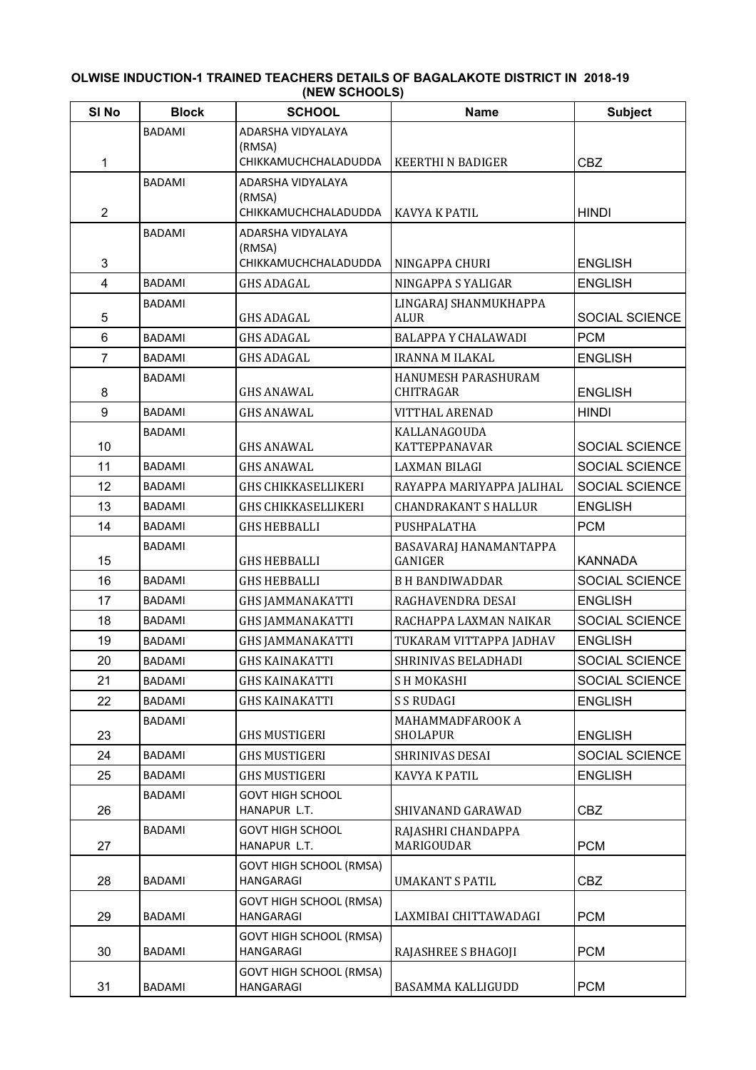## **OLWISE INDUCTION-1 TRAINED TEACHERS DETAILS OF BAGALAKOTE DISTRICT IN 2018-19 (NEW SCHOOLS)**

| SI <sub>No</sub> | <b>Block</b>  | <b>SCHOOL</b>                               | <b>Name</b>                             | <b>Subject</b> |
|------------------|---------------|---------------------------------------------|-----------------------------------------|----------------|
|                  | <b>BADAMI</b> | ADARSHA VIDYALAYA                           |                                         |                |
| 1                |               | (RMSA)<br>CHIKKAMUCHCHALADUDDA              | <b>KEERTHI N BADIGER</b>                | <b>CBZ</b>     |
|                  | <b>BADAMI</b> | ADARSHA VIDYALAYA                           |                                         |                |
|                  |               | (RMSA)                                      |                                         |                |
| $\overline{2}$   |               | CHIKKAMUCHCHALADUDDA                        | KAVYA K PATIL                           | <b>HINDI</b>   |
|                  | <b>BADAMI</b> | ADARSHA VIDYALAYA                           |                                         |                |
| 3                |               | (RMSA)<br>CHIKKAMUCHCHALADUDDA              | NINGAPPA CHURI                          | <b>ENGLISH</b> |
| $\overline{4}$   | <b>BADAMI</b> | <b>GHS ADAGAL</b>                           | NINGAPPA S YALIGAR                      | <b>ENGLISH</b> |
|                  | BADAMI        |                                             | LINGARAJ SHANMUKHAPPA                   |                |
| 5                |               | <b>GHS ADAGAL</b>                           | <b>ALUR</b>                             | SOCIAL SCIENCE |
| 6                | <b>BADAMI</b> | <b>GHS ADAGAL</b>                           | <b>BALAPPA Y CHALAWADI</b>              | <b>PCM</b>     |
| $\overline{7}$   | <b>BADAMI</b> | <b>GHS ADAGAL</b>                           | <b>IRANNA M ILAKAL</b>                  | <b>ENGLISH</b> |
| 8                | <b>BADAMI</b> | <b>GHS ANAWAL</b>                           | HANUMESH PARASHURAM<br><b>CHITRAGAR</b> | <b>ENGLISH</b> |
| 9                | <b>BADAMI</b> | <b>GHS ANAWAL</b>                           | <b>VITTHAL ARENAD</b>                   | <b>HINDI</b>   |
| 10               | BADAMI        | <b>GHS ANAWAL</b>                           | KALLANAGOUDA<br>KATTEPPANAVAR           | SOCIAL SCIENCE |
| 11               | <b>BADAMI</b> | <b>GHS ANAWAL</b>                           | <b>LAXMAN BILAGI</b>                    | SOCIAL SCIENCE |
| 12               | BADAMI        | <b>GHS CHIKKASELLIKERI</b>                  | RAYAPPA MARIYAPPA JALIHAL               | SOCIAL SCIENCE |
| 13               | BADAMI        | <b>GHS CHIKKASELLIKERI</b>                  | <b>CHANDRAKANT S HALLUR</b>             | <b>ENGLISH</b> |
| 14               | BADAMI        | <b>GHS HEBBALLI</b>                         | PUSHPALATHA                             | <b>PCM</b>     |
| 15               | <b>BADAMI</b> | <b>GHS HEBBALLI</b>                         | BASAVARAJ HANAMANTAPPA<br>GANIGER       | <b>KANNADA</b> |
| 16               | <b>BADAMI</b> | <b>GHS HEBBALLI</b>                         | <b>B H BANDIWADDAR</b>                  | SOCIAL SCIENCE |
| 17               | BADAMI        | <b>GHS JAMMANAKATTI</b>                     | RAGHAVENDRA DESAI                       | <b>ENGLISH</b> |
| 18               | BADAMI        | <b>GHS JAMMANAKATTI</b>                     | RACHAPPA LAXMAN NAIKAR                  | SOCIAL SCIENCE |
| 19               | <b>BADAMI</b> | <b>GHS JAMMANAKATTI</b>                     | TUKARAM VITTAPPA JADHAV                 | <b>ENGLISH</b> |
| 20               | BADAMI        | <b>GHS KAINAKATTI</b>                       | SHRINIVAS BELADHADI                     | SOCIAL SCIENCE |
| 21               | <b>BADAMI</b> | <b>GHS KAINAKATTI</b>                       | SH MOKASHI                              | SOCIAL SCIENCE |
| 22               | BADAMI        | <b>GHS KAINAKATTI</b>                       | <b>S S RUDAGI</b>                       | <b>ENGLISH</b> |
| 23               | BADAMI        | <b>GHS MUSTIGERI</b>                        | MAHAMMADFAROOK A<br><b>SHOLAPUR</b>     | <b>ENGLISH</b> |
| 24               | BADAMI        | <b>GHS MUSTIGERI</b>                        | SHRINIVAS DESAI                         | SOCIAL SCIENCE |
| 25               | <b>BADAMI</b> | <b>GHS MUSTIGERI</b>                        | KAVYA K PATIL                           | <b>ENGLISH</b> |
| 26               | BADAMI        | <b>GOVT HIGH SCHOOL</b><br>HANAPUR L.T.     | SHIVANAND GARAWAD                       | <b>CBZ</b>     |
| 27               | <b>BADAMI</b> | <b>GOVT HIGH SCHOOL</b><br>HANAPUR L.T.     | RAJASHRI CHANDAPPA<br>MARIGOUDAR        | <b>PCM</b>     |
| 28               | <b>BADAMI</b> | GOVT HIGH SCHOOL (RMSA)<br>HANGARAGI        | <b>UMAKANT S PATIL</b>                  | <b>CBZ</b>     |
| 29               | BADAMI        | <b>GOVT HIGH SCHOOL (RMSA)</b><br>HANGARAGI | LAXMIBAI CHITTAWADAGI                   | <b>PCM</b>     |
| 30               | BADAMI        | <b>GOVT HIGH SCHOOL (RMSA)</b><br>HANGARAGI | RAJASHREE S BHAGOJI                     | <b>PCM</b>     |
| 31               | <b>BADAMI</b> | <b>GOVT HIGH SCHOOL (RMSA)</b><br>HANGARAGI | BASAMMA KALLIGUDD                       | <b>PCM</b>     |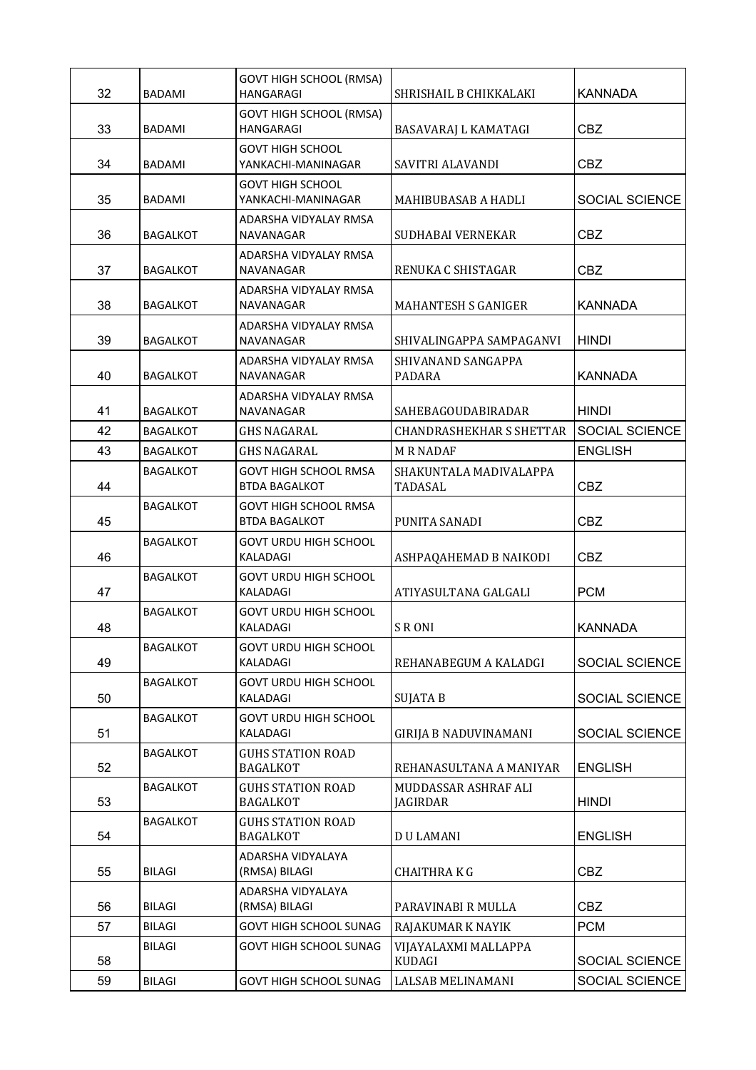| 32 | BADAMI          | GOVT HIGH SCHOOL (RMSA)<br><b>HANGARAGI</b>          | SHRISHAIL B CHIKKALAKI            | <b>KANNADA</b>        |
|----|-----------------|------------------------------------------------------|-----------------------------------|-----------------------|
| 33 | <b>BADAMI</b>   | GOVT HIGH SCHOOL (RMSA)<br>HANGARAGI                 | BASAVARAJ L KAMATAGI              | <b>CBZ</b>            |
| 34 | BADAMI          | GOVT HIGH SCHOOL<br>YANKACHI-MANINAGAR               | SAVITRI ALAVANDI                  | <b>CBZ</b>            |
| 35 | BADAMI          | GOVT HIGH SCHOOL<br>YANKACHI-MANINAGAR               | MAHIBUBASAB A HADLI               | <b>SOCIAL SCIENCE</b> |
| 36 | <b>BAGALKOT</b> | ADARSHA VIDYALAY RMSA<br>NAVANAGAR                   | SUDHABAI VERNEKAR                 | <b>CBZ</b>            |
| 37 | <b>BAGALKOT</b> | ADARSHA VIDYALAY RMSA<br>NAVANAGAR                   | RENUKA C SHISTAGAR                | <b>CBZ</b>            |
| 38 | <b>BAGALKOT</b> | ADARSHA VIDYALAY RMSA<br>NAVANAGAR                   | <b>MAHANTESH S GANIGER</b>        | <b>KANNADA</b>        |
| 39 | <b>BAGALKOT</b> | ADARSHA VIDYALAY RMSA<br>NAVANAGAR                   | SHIVALINGAPPA SAMPAGANVI          | <b>HINDI</b>          |
| 40 | <b>BAGALKOT</b> | ADARSHA VIDYALAY RMSA<br>NAVANAGAR                   | SHIVANAND SANGAPPA<br>PADARA      | <b>KANNADA</b>        |
| 41 | <b>BAGALKOT</b> | ADARSHA VIDYALAY RMSA<br>NAVANAGAR                   | SAHEBAGOUDABIRADAR                | <b>HINDI</b>          |
| 42 | <b>BAGALKOT</b> | GHS NAGARAL                                          | <b>CHANDRASHEKHAR S SHETTAR</b>   | SOCIAL SCIENCE        |
| 43 | <b>BAGALKOT</b> | <b>GHS NAGARAL</b>                                   | <b>M R NADAF</b>                  | <b>ENGLISH</b>        |
| 44 | <b>BAGALKOT</b> | <b>GOVT HIGH SCHOOL RMSA</b><br><b>BTDA BAGALKOT</b> | SHAKUNTALA MADIVALAPPA<br>TADASAL | <b>CBZ</b>            |
| 45 | <b>BAGALKOT</b> | <b>GOVT HIGH SCHOOL RMSA</b><br><b>BTDA BAGALKOT</b> | PUNITA SANADI                     | <b>CBZ</b>            |
| 46 | <b>BAGALKOT</b> | GOVT URDU HIGH SCHOOL<br>KALADAGI                    | ASHPAQAHEMAD B NAIKODI            | <b>CBZ</b>            |
| 47 | <b>BAGALKOT</b> | <b>GOVT URDU HIGH SCHOOL</b><br>KALADAGI             | ATIYASULTANA GALGALI              | <b>PCM</b>            |
| 48 | <b>BAGALKOT</b> | GOVT URDU HIGH SCHOOL<br>KALADAGI                    | <b>SRONI</b>                      | <b>KANNADA</b>        |
| 49 | <b>BAGALKOT</b> | <b>GOVT URDU HIGH SCHOOL</b><br>KALADAGI             | REHANABEGUM A KALADGI             | SOCIAL SCIENCE        |
| 50 | <b>BAGALKOT</b> | GOVT URDU HIGH SCHOOL<br>KALADAGI                    | <b>SUJATA B</b>                   | SOCIAL SCIENCE        |
| 51 | <b>BAGALKOT</b> | GOVT URDU HIGH SCHOOL<br>KALADAGI                    | <b>GIRIJA B NADUVINAMANI</b>      | SOCIAL SCIENCE        |
| 52 | <b>BAGALKOT</b> | <b>GUHS STATION ROAD</b><br><b>BAGALKOT</b>          | REHANASULTANA A MANIYAR           | <b>ENGLISH</b>        |
| 53 | <b>BAGALKOT</b> | <b>GUHS STATION ROAD</b><br><b>BAGALKOT</b>          | MUDDASSAR ASHRAF ALI<br>JAGIRDAR  | <b>HINDI</b>          |
| 54 | <b>BAGALKOT</b> | GUHS STATION ROAD<br><b>BAGALKOT</b>                 | <b>DU LAMANI</b>                  | <b>ENGLISH</b>        |
| 55 | <b>BILAGI</b>   | ADARSHA VIDYALAYA<br>(RMSA) BILAGI                   | <b>CHAITHRAKG</b>                 | <b>CBZ</b>            |
| 56 | <b>BILAGI</b>   | ADARSHA VIDYALAYA<br>(RMSA) BILAGI                   | PARAVINABI R MULLA                | <b>CBZ</b>            |
| 57 | <b>BILAGI</b>   | GOVT HIGH SCHOOL SUNAG                               | RAJAKUMAR K NAYIK                 | <b>PCM</b>            |
| 58 | <b>BILAGI</b>   | <b>GOVT HIGH SCHOOL SUNAG</b>                        | VIJAYALAXMI MALLAPPA<br>KUDAGI    | SOCIAL SCIENCE        |
| 59 | <b>BILAGI</b>   | GOVT HIGH SCHOOL SUNAG                               | LALSAB MELINAMANI                 | SOCIAL SCIENCE        |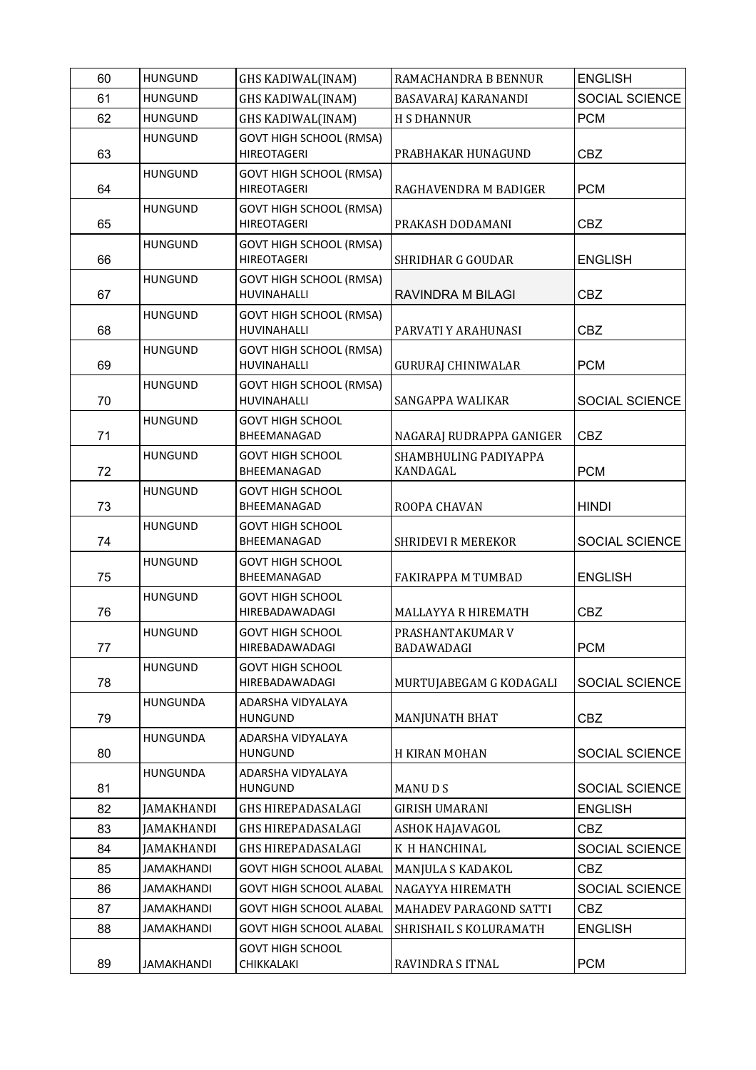| 60       | <b>HUNGUND</b>                         | <b>GHS KADIWAL(INAM)</b>                                         | RAMACHANDRA B BENNUR                  | <b>ENGLISH</b>               |
|----------|----------------------------------------|------------------------------------------------------------------|---------------------------------------|------------------------------|
| 61       | <b>HUNGUND</b>                         | <b>GHS KADIWAL(INAM)</b>                                         | BASAVARAJ KARANANDI                   | SOCIAL SCIENCE               |
| 62       | <b>HUNGUND</b>                         | <b>GHS KADIWAL(INAM)</b>                                         | <b>H S DHANNUR</b>                    | <b>PCM</b>                   |
|          | <b>HUNGUND</b>                         | <b>GOVT HIGH SCHOOL (RMSA)</b>                                   |                                       |                              |
| 63       |                                        | <b>HIREOTAGERI</b>                                               | PRABHAKAR HUNAGUND                    | <b>CBZ</b>                   |
| 64       | <b>HUNGUND</b>                         | <b>GOVT HIGH SCHOOL (RMSA)</b><br><b>HIREOTAGERI</b>             | RAGHAVENDRA M BADIGER                 | <b>PCM</b>                   |
|          | <b>HUNGUND</b>                         | <b>GOVT HIGH SCHOOL (RMSA)</b>                                   |                                       |                              |
| 65       |                                        | <b>HIREOTAGERI</b>                                               | PRAKASH DODAMANI                      | <b>CBZ</b>                   |
|          | <b>HUNGUND</b>                         | <b>GOVT HIGH SCHOOL (RMSA)</b>                                   |                                       |                              |
| 66       |                                        | <b>HIREOTAGERI</b>                                               | <b>SHRIDHAR G GOUDAR</b>              | <b>ENGLISH</b>               |
|          | <b>HUNGUND</b>                         | <b>GOVT HIGH SCHOOL (RMSA)</b>                                   |                                       |                              |
| 67       | <b>HUNGUND</b>                         | HUVINAHALLI<br><b>GOVT HIGH SCHOOL (RMSA)</b>                    | RAVINDRA M BILAGI                     | <b>CBZ</b>                   |
| 68       |                                        | HUVINAHALLI                                                      | PARVATI Y ARAHUNASI                   | <b>CBZ</b>                   |
|          | <b>HUNGUND</b>                         | <b>GOVT HIGH SCHOOL (RMSA)</b>                                   |                                       |                              |
| 69       |                                        | <b>HUVINAHALLI</b>                                               | <b>GURURAJ CHINIWALAR</b>             | <b>PCM</b>                   |
|          | <b>HUNGUND</b>                         | <b>GOVT HIGH SCHOOL (RMSA)</b>                                   |                                       |                              |
| 70       |                                        | HUVINAHALLI                                                      | SANGAPPA WALIKAR                      | SOCIAL SCIENCE               |
| 71       | <b>HUNGUND</b>                         | <b>GOVT HIGH SCHOOL</b><br>BHEEMANAGAD                           | NAGARAJ RUDRAPPA GANIGER              | <b>CBZ</b>                   |
|          | <b>HUNGUND</b>                         | <b>GOVT HIGH SCHOOL</b>                                          | SHAMBHULING PADIYAPPA                 |                              |
| 72       |                                        | BHEEMANAGAD                                                      | KANDAGAL                              | <b>PCM</b>                   |
|          | <b>HUNGUND</b>                         | <b>GOVT HIGH SCHOOL</b>                                          |                                       |                              |
| 73       |                                        | BHEEMANAGAD                                                      | ROOPA CHAVAN                          | <b>HINDI</b>                 |
|          | <b>HUNGUND</b>                         | <b>GOVT HIGH SCHOOL</b>                                          |                                       |                              |
| 74       |                                        | BHEEMANAGAD                                                      | <b>SHRIDEVI R MEREKOR</b>             | SOCIAL SCIENCE               |
| 75       | <b>HUNGUND</b>                         | <b>GOVT HIGH SCHOOL</b><br>BHEEMANAGAD                           | <b>FAKIRAPPA M TUMBAD</b>             | <b>ENGLISH</b>               |
|          | <b>HUNGUND</b>                         | <b>GOVT HIGH SCHOOL</b>                                          |                                       |                              |
| 76       |                                        | <b>HIREBADAWADAGI</b>                                            | MALLAYYA R HIREMATH                   | <b>CBZ</b>                   |
|          | <b>HUNGUND</b>                         | <b>GOVT HIGH SCHOOL</b>                                          | PRASHANTAKUMAR V                      |                              |
| 77       |                                        | <b>HIREBADAWADAGI</b>                                            | BADAWADAGI                            | <b>PCM</b>                   |
| 78       | <b>HUNGUND</b>                         | <b>GOVT HIGH SCHOOL</b><br>HIREBADAWADAGI                        | MURTUJABEGAM G KODAGALI               | SOCIAL SCIENCE               |
|          | <b>HUNGUNDA</b>                        | ADARSHA VIDYALAYA                                                |                                       |                              |
| 79       |                                        | <b>HUNGUND</b>                                                   | <b>MANJUNATH BHAT</b>                 | <b>CBZ</b>                   |
|          | <b>HUNGUNDA</b>                        | ADARSHA VIDYALAYA                                                |                                       |                              |
| 80       |                                        | HUNGUND                                                          | H KIRAN MOHAN                         | SOCIAL SCIENCE               |
|          | <b>HUNGUNDA</b>                        | ADARSHA VIDYALAYA                                                |                                       |                              |
| 81       |                                        | <b>HUNGUND</b>                                                   | MANU D S                              | SOCIAL SCIENCE               |
| 82       | <b>JAMAKHANDI</b>                      | GHS HIREPADASALAGI                                               | <b>GIRISH UMARANI</b>                 | <b>ENGLISH</b>               |
| 83       | <b>JAMAKHANDI</b>                      | GHS HIREPADASALAGI                                               | ASHOK HAJAVAGOL                       | <b>CBZ</b>                   |
| 84       | JAMAKHANDI                             | GHS HIREPADASALAGI                                               | K H HANCHINAL                         | SOCIAL SCIENCE               |
| 85<br>86 | <b>JAMAKHANDI</b><br><b>JAMAKHANDI</b> | <b>GOVT HIGH SCHOOL ALABAL</b><br><b>GOVT HIGH SCHOOL ALABAL</b> | MANJULA S KADAKOL<br>NAGAYYA HIREMATH | <b>CBZ</b><br>SOCIAL SCIENCE |
| 87       | <b>JAMAKHANDI</b>                      | <b>GOVT HIGH SCHOOL ALABAL</b>                                   | MAHADEV PARAGOND SATTI                | <b>CBZ</b>                   |
| 88       | <b>JAMAKHANDI</b>                      | <b>GOVT HIGH SCHOOL ALABAL</b>                                   | SHRISHAIL S KOLURAMATH                | <b>ENGLISH</b>               |
|          |                                        | <b>GOVT HIGH SCHOOL</b>                                          |                                       |                              |
| 89       | <b>JAMAKHANDI</b>                      | CHIKKALAKI                                                       | RAVINDRA S ITNAL                      | <b>PCM</b>                   |
|          |                                        |                                                                  |                                       |                              |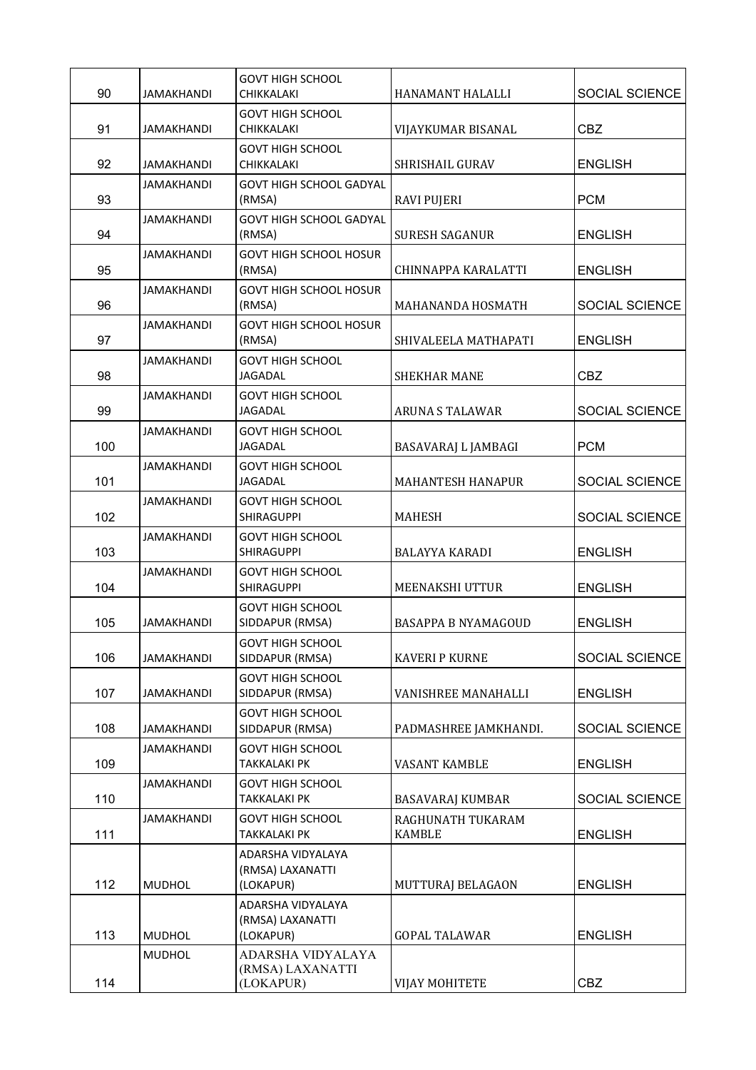|     |                   | GOVT HIGH SCHOOL                                   |                                    |                       |
|-----|-------------------|----------------------------------------------------|------------------------------------|-----------------------|
| 90  | <b>JAMAKHANDI</b> | CHIKKALAKI                                         | HANAMANT HALALLI                   | <b>SOCIAL SCIENCE</b> |
| 91  | <b>JAMAKHANDI</b> | GOVT HIGH SCHOOL<br>CHIKKALAKI                     | VIJAYKUMAR BISANAL                 | <b>CBZ</b>            |
| 92  | <b>JAMAKHANDI</b> | GOVT HIGH SCHOOL<br>CHIKKALAKI                     | SHRISHAIL GURAV                    | <b>ENGLISH</b>        |
| 93  | <b>JAMAKHANDI</b> | <b>GOVT HIGH SCHOOL GADYAL</b><br>(RMSA)           | <b>RAVI PUJERI</b>                 | <b>PCM</b>            |
| 94  | <b>JAMAKHANDI</b> | <b>GOVT HIGH SCHOOL GADYAL</b><br>(RMSA)           | <b>SURESH SAGANUR</b>              | <b>ENGLISH</b>        |
| 95  | <b>JAMAKHANDI</b> | <b>GOVT HIGH SCHOOL HOSUR</b><br>(RMSA)            | CHINNAPPA KARALATTI                | <b>ENGLISH</b>        |
| 96  | <b>JAMAKHANDI</b> | <b>GOVT HIGH SCHOOL HOSUR</b><br>(RMSA)            | MAHANANDA HOSMATH                  | SOCIAL SCIENCE        |
| 97  | <b>JAMAKHANDI</b> | <b>GOVT HIGH SCHOOL HOSUR</b><br>(RMSA)            | SHIVALEELA MATHAPATI               | <b>ENGLISH</b>        |
| 98  | <b>JAMAKHANDI</b> | GOVT HIGH SCHOOL<br><b>JAGADAL</b>                 | <b>SHEKHAR MANE</b>                | CBZ                   |
| 99  | <b>JAMAKHANDI</b> | <b>GOVT HIGH SCHOOL</b><br><b>JAGADAL</b>          | <b>ARUNA S TALAWAR</b>             | <b>SOCIAL SCIENCE</b> |
| 100 | <b>JAMAKHANDI</b> | <b>GOVT HIGH SCHOOL</b><br>JAGADAL                 | BASAVARAJ L JAMBAGI                | <b>PCM</b>            |
| 101 | <b>JAMAKHANDI</b> | GOVT HIGH SCHOOL<br><b>JAGADAL</b>                 | <b>MAHANTESH HANAPUR</b>           | SOCIAL SCIENCE        |
| 102 | JAMAKHANDI        | <b>GOVT HIGH SCHOOL</b><br><b>SHIRAGUPPI</b>       | <b>MAHESH</b>                      | <b>SOCIAL SCIENCE</b> |
| 103 | <b>JAMAKHANDI</b> | <b>GOVT HIGH SCHOOL</b><br>SHIRAGUPPI              | <b>BALAYYA KARADI</b>              | <b>ENGLISH</b>        |
| 104 | <b>JAMAKHANDI</b> | <b>GOVT HIGH SCHOOL</b><br><b>SHIRAGUPPI</b>       | MEENAKSHI UTTUR                    | <b>ENGLISH</b>        |
| 105 | <b>JAMAKHANDI</b> | <b>GOVT HIGH SCHOOL</b><br>SIDDAPUR (RMSA)         | <b>BASAPPA B NYAMAGOUD</b>         | <b>ENGLISH</b>        |
| 106 | <b>JAMAKHANDI</b> | <b>GOVT HIGH SCHOOL</b><br>SIDDAPUR (RMSA)         | <b>KAVERI P KURNE</b>              | <b>SOCIAL SCIENCE</b> |
| 107 | <b>JAMAKHANDI</b> | GOVT HIGH SCHOOL<br>SIDDAPUR (RMSA)                | VANISHREE MANAHALLI                | <b>ENGLISH</b>        |
| 108 | <b>JAMAKHANDI</b> | <b>GOVT HIGH SCHOOL</b><br>SIDDAPUR (RMSA)         | PADMASHREE JAMKHANDI.              | SOCIAL SCIENCE        |
| 109 | <b>JAMAKHANDI</b> | <b>GOVT HIGH SCHOOL</b><br>TAKKALAKI PK            | VASANT KAMBLE                      | <b>ENGLISH</b>        |
| 110 | <b>JAMAKHANDI</b> | GOVT HIGH SCHOOL<br>TAKKALAKI PK                   | BASAVARAJ KUMBAR                   | SOCIAL SCIENCE        |
| 111 | <b>JAMAKHANDI</b> | <b>GOVT HIGH SCHOOL</b><br>TAKKALAKI PK            | RAGHUNATH TUKARAM<br><b>KAMBLE</b> | <b>ENGLISH</b>        |
| 112 | <b>MUDHOL</b>     | ADARSHA VIDYALAYA<br>(RMSA) LAXANATTI<br>(LOKAPUR) | MUTTURAJ BELAGAON                  | <b>ENGLISH</b>        |
| 113 | <b>MUDHOL</b>     | ADARSHA VIDYALAYA<br>(RMSA) LAXANATTI<br>(LOKAPUR) | <b>GOPAL TALAWAR</b>               | <b>ENGLISH</b>        |
| 114 | <b>MUDHOL</b>     | ADARSHA VIDYALAYA<br>(RMSA) LAXANATTI<br>(LOKAPUR) | VIJAY MOHITETE                     | <b>CBZ</b>            |